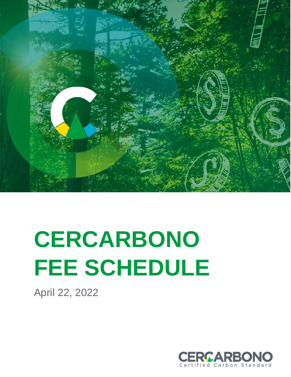

# **CERCARBONO FEE SCHEDULE**

April 22, 2022

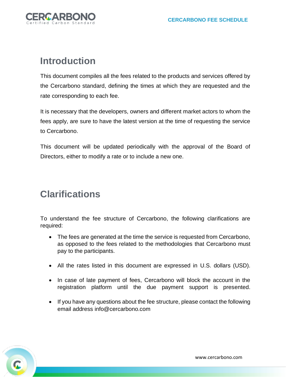

#### **Introduction**

This document compiles all the fees related to the products and services offered by the Cercarbono standard, defining the times at which they are requested and the rate corresponding to each fee.

It is necessary that the developers, owners and different market actors to whom the fees apply, are sure to have the latest version at the time of requesting the service to Cercarbono.

This document will be updated periodically with the approval of the Board of Directors, either to modify a rate or to include a new one.

#### **Clarifications**

To understand the fee structure of Cercarbono, the following clarifications are required:

- The fees are generated at the time the service is requested from Cercarbono, as opposed to the fees related to the methodologies that Cercarbono must pay to the participants.
- All the rates listed in this document are expressed in U.S. dollars (USD).
- In case of late payment of fees, Cercarbono will block the account in the registration platform until the due payment support is presented.
- If you have any questions about the fee structure, please contact the following email address info@cercarbono.com

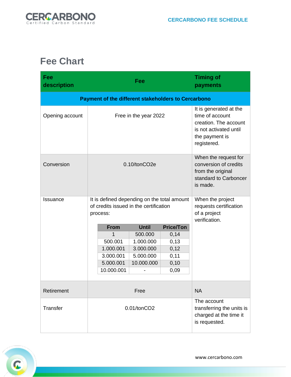

### **Fee Chart**

| Fee<br>description                                         | Fee                                                                                               | <b>Timing of</b><br>payments                                                                                                  |  |  |  |  |
|------------------------------------------------------------|---------------------------------------------------------------------------------------------------|-------------------------------------------------------------------------------------------------------------------------------|--|--|--|--|
| <b>Payment of the different stakeholders to Cercarbono</b> |                                                                                                   |                                                                                                                               |  |  |  |  |
| Opening account                                            | Free in the year 2022                                                                             | It is generated at the<br>time of account<br>creation. The account<br>is not activated until<br>the payment is<br>registered. |  |  |  |  |
| Conversion                                                 | 0.10/tonCO2e                                                                                      | When the request for<br>conversion of credits<br>from the original<br>standard to Carboncer<br>is made.                       |  |  |  |  |
| Issuance                                                   | It is defined depending on the total amount<br>of credits issued in the certification<br>process: | When the project<br>requests certification<br>of a project<br>verification.                                                   |  |  |  |  |
|                                                            | <b>Until</b><br><b>Price/Ton</b><br><b>From</b>                                                   |                                                                                                                               |  |  |  |  |
|                                                            | 1<br>500.000<br>0,14                                                                              |                                                                                                                               |  |  |  |  |
|                                                            | 500.001<br>1.000.000<br>0,13                                                                      |                                                                                                                               |  |  |  |  |
|                                                            | 0,12<br>1.000.001<br>3.000.000                                                                    |                                                                                                                               |  |  |  |  |
|                                                            | 5.000.000<br>3.000.001<br>0,11                                                                    |                                                                                                                               |  |  |  |  |
|                                                            | 0, 10<br>5.000.001<br>10.000.000<br>10.000.001<br>0,09                                            |                                                                                                                               |  |  |  |  |
|                                                            |                                                                                                   |                                                                                                                               |  |  |  |  |
| Retirement                                                 | Free                                                                                              | <b>NA</b>                                                                                                                     |  |  |  |  |
| Transfer                                                   | 0.01/tonCO2                                                                                       | The account<br>transferring the units is<br>charged at the time it<br>is requested.                                           |  |  |  |  |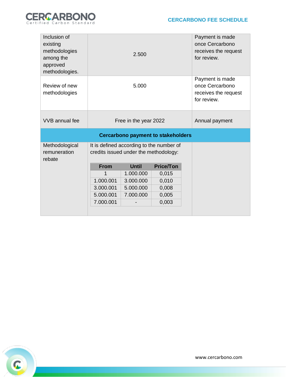

| Inclusion of<br>existing<br>methodologies<br>among the<br>approved<br>methodologies. | 2.500                                                                             |              |                  | Payment is made<br>once Cercarbono<br>receives the request<br>for review. |  |  |
|--------------------------------------------------------------------------------------|-----------------------------------------------------------------------------------|--------------|------------------|---------------------------------------------------------------------------|--|--|
| Review of new<br>methodologies                                                       | 5.000                                                                             |              |                  | Payment is made<br>once Cercarbono<br>receives the request<br>for review. |  |  |
| VVB annual fee                                                                       | Free in the year 2022                                                             |              |                  | Annual payment                                                            |  |  |
| <b>Cercarbono payment to stakeholders</b>                                            |                                                                                   |              |                  |                                                                           |  |  |
| Methodological<br>remuneration<br>rebate                                             | It is defined according to the number of<br>credits issued under the methodology: |              |                  |                                                                           |  |  |
|                                                                                      | <b>From</b>                                                                       | <b>Until</b> | <b>Price/Ton</b> |                                                                           |  |  |
|                                                                                      | 1                                                                                 | 1.000.000    | 0,015            |                                                                           |  |  |
|                                                                                      | 1.000.001                                                                         | 3.000.000    | 0,010            |                                                                           |  |  |
|                                                                                      | 3.000.001                                                                         | 5.000.000    | 0,008            |                                                                           |  |  |
|                                                                                      | 5.000.001                                                                         | 7.000.000    | 0,005            |                                                                           |  |  |
|                                                                                      | 7.000.001                                                                         |              | 0,003            |                                                                           |  |  |
|                                                                                      |                                                                                   |              |                  |                                                                           |  |  |